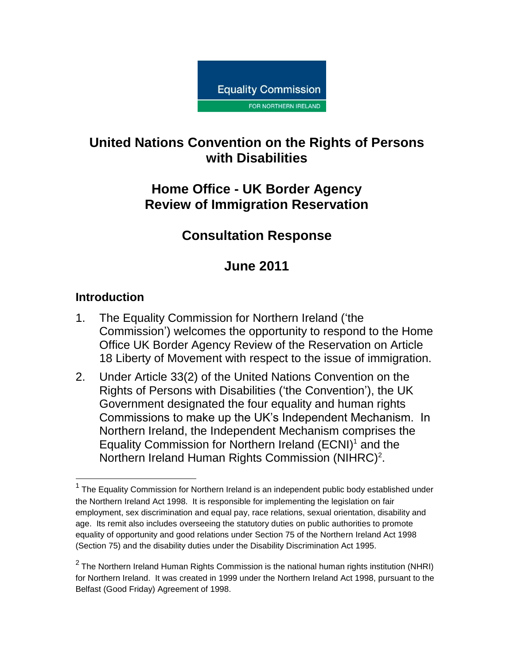

## **United Nations Convention on the Rights of Persons with Disabilities**

## **Home Office - UK Border Agency Review of Immigration Reservation**

# **Consultation Response**

# **June 2011**

## **Introduction**

 $\overline{a}$ 

- 1. The Equality Commission for Northern Ireland ('the Commission') welcomes the opportunity to respond to the Home Office UK Border Agency Review of the Reservation on Article 18 Liberty of Movement with respect to the issue of immigration.
- 2. Under Article 33(2) of the United Nations Convention on the Rights of Persons with Disabilities ('the Convention'), the UK Government designated the four equality and human rights Commissions to make up the UK's Independent Mechanism. In Northern Ireland, the Independent Mechanism comprises the Equality Commission for Northern Ireland  $(ECNI)^1$  and the Northern Ireland Human Rights Commission (NIHRC)<sup>2</sup>.

 $1$  The Equality Commission for Northern Ireland is an independent public body established under the Northern Ireland Act 1998. It is responsible for implementing the legislation on fair employment, sex discrimination and equal pay, race relations, sexual orientation, disability and age. Its remit also includes overseeing the statutory duties on public authorities to promote equality of opportunity and good relations under Section 75 of the Northern Ireland Act 1998 (Section 75) and the disability duties under the Disability Discrimination Act 1995.

 $^2$  The Northern Ireland Human Rights Commission is the national human rights institution (NHRI) for Northern Ireland. It was created in 1999 under the Northern Ireland Act 1998, pursuant to the Belfast (Good Friday) Agreement of 1998.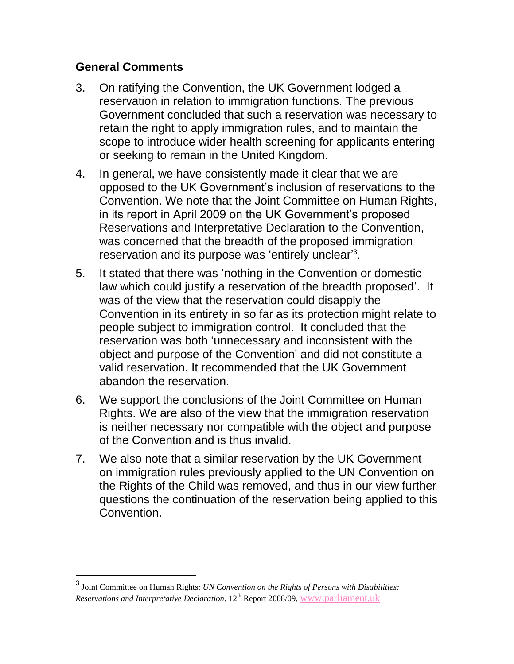#### **General Comments**

- 3. On ratifying the Convention, the UK Government lodged a reservation in relation to immigration functions. The previous Government concluded that such a reservation was necessary to retain the right to apply immigration rules, and to maintain the scope to introduce wider health screening for applicants entering or seeking to remain in the United Kingdom.
- 4. In general, we have consistently made it clear that we are opposed to the UK Government's inclusion of reservations to the Convention. We note that the Joint Committee on Human Rights, in its report in April 2009 on the UK Government's proposed Reservations and Interpretative Declaration to the Convention, was concerned that the breadth of the proposed immigration reservation and its purpose was 'entirely unclear'<sup>3</sup>.
- 5. It stated that there was 'nothing in the Convention or domestic law which could justify a reservation of the breadth proposed'. It was of the view that the reservation could disapply the Convention in its entirety in so far as its protection might relate to people subject to immigration control. It concluded that the reservation was both 'unnecessary and inconsistent with the object and purpose of the Convention' and did not constitute a valid reservation. It recommended that the UK Government abandon the reservation.
- 6. We support the conclusions of the Joint Committee on Human Rights. We are also of the view that the immigration reservation is neither necessary nor compatible with the object and purpose of the Convention and is thus invalid.
- 7. We also note that a similar reservation by the UK Government on immigration rules previously applied to the UN Convention on the Rights of the Child was removed, and thus in our view further questions the continuation of the reservation being applied to this Convention.

 3 Joint Committee on Human Rights: *UN Convention on the Rights of Persons with Disabilities: Reservations and Interpretative Declaration*, 12<sup>th</sup> Report 2008/09, [www.parliament.uk](http://www.parliament.uk/)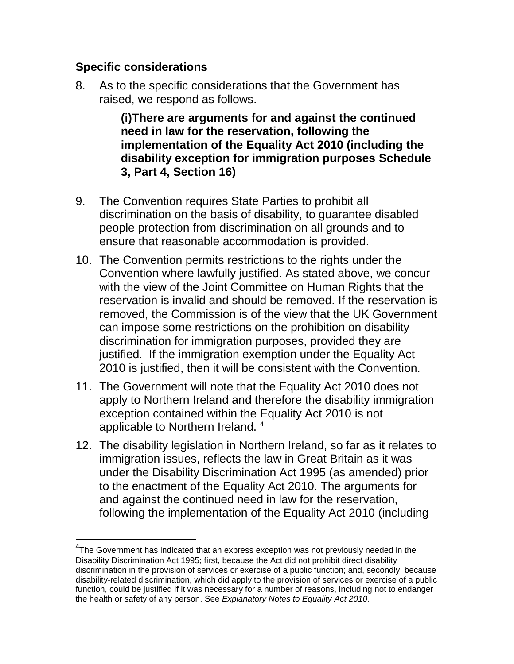### **Specific considerations**

 $\overline{a}$ 

8. As to the specific considerations that the Government has raised, we respond as follows.

> **(i)There are arguments for and against the continued need in law for the reservation, following the implementation of the Equality Act 2010 (including the disability exception for immigration purposes Schedule 3, Part 4, Section 16)**

- 9. The Convention requires State Parties to prohibit all discrimination on the basis of disability, to guarantee disabled people protection from discrimination on all grounds and to ensure that reasonable accommodation is provided.
- 10. The Convention permits restrictions to the rights under the Convention where lawfully justified. As stated above, we concur with the view of the Joint Committee on Human Rights that the reservation is invalid and should be removed. If the reservation is removed, the Commission is of the view that the UK Government can impose some restrictions on the prohibition on disability discrimination for immigration purposes, provided they are justified. If the immigration exemption under the Equality Act 2010 is justified, then it will be consistent with the Convention.
- 11. The Government will note that the Equality Act 2010 does not apply to Northern Ireland and therefore the disability immigration exception contained within the Equality Act 2010 is not applicable to Northern Ireland. <sup>4</sup>
- 12. The disability legislation in Northern Ireland, so far as it relates to immigration issues, reflects the law in Great Britain as it was under the Disability Discrimination Act 1995 (as amended) prior to the enactment of the Equality Act 2010. The arguments for and against the continued need in law for the reservation, following the implementation of the Equality Act 2010 (including

 $4$ The Government has indicated that an express exception was not previously needed in the Disability Discrimination Act 1995; first, because the Act did not prohibit direct disability discrimination in the provision of services or exercise of a public function; and, secondly, because disability-related discrimination, which did apply to the provision of services or exercise of a public function, could be justified if it was necessary for a number of reasons, including not to endanger the health or safety of any person. See *Explanatory Notes to Equality Act 2010.*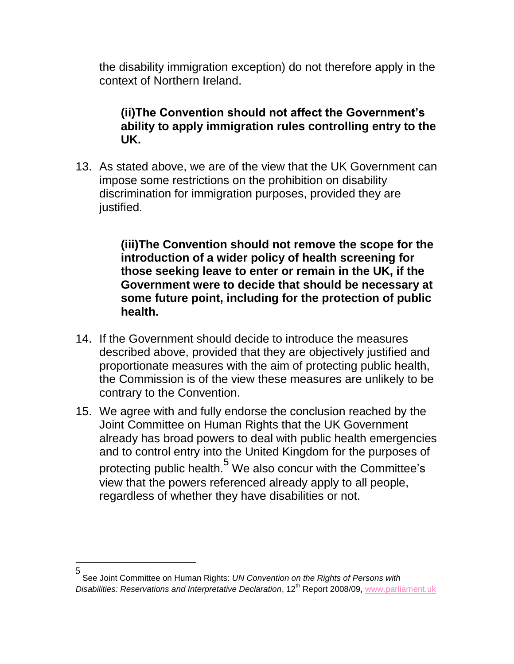the disability immigration exception) do not therefore apply in the context of Northern Ireland.

**(ii)The Convention should not affect the Government's ability to apply immigration rules controlling entry to the UK.**

13. As stated above, we are of the view that the UK Government can impose some restrictions on the prohibition on disability discrimination for immigration purposes, provided they are justified.

> **(iii)The Convention should not remove the scope for the introduction of a wider policy of health screening for those seeking leave to enter or remain in the UK, if the Government were to decide that should be necessary at some future point, including for the protection of public health.**

- 14. If the Government should decide to introduce the measures described above, provided that they are objectively justified and proportionate measures with the aim of protecting public health, the Commission is of the view these measures are unlikely to be contrary to the Convention.
- 15. We agree with and fully endorse the conclusion reached by the Joint Committee on Human Rights that the UK Government already has broad powers to deal with public health emergencies and to control entry into the United Kingdom for the purposes of protecting public health.<sup>5</sup> We also concur with the Committee's view that the powers referenced already apply to all people, regardless of whether they have disabilities or not.

 $\overline{a}$ 

<sup>5</sup> See Joint Committee on Human Rights: *UN Convention on the Rights of Persons with Disabilities: Reservations and Interpretative Declaration*, 12th Report 2008/09, [www.parliament.uk](http://www.parliament.uk/)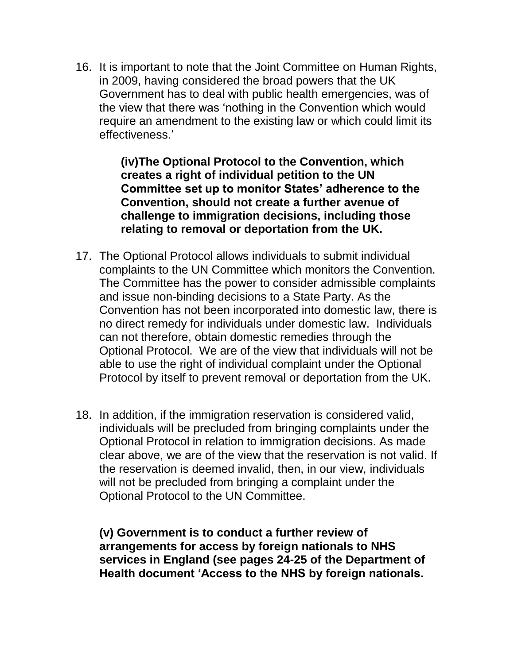16. It is important to note that the Joint Committee on Human Rights, in 2009, having considered the broad powers that the UK Government has to deal with public health emergencies, was of the view that there was 'nothing in the Convention which would require an amendment to the existing law or which could limit its effectiveness.'

> **(iv)The Optional Protocol to the Convention, which creates a right of individual petition to the UN Committee set up to monitor States' adherence to the Convention, should not create a further avenue of challenge to immigration decisions, including those relating to removal or deportation from the UK.**

- 17. The Optional Protocol allows individuals to submit individual complaints to the UN Committee which monitors the Convention. The Committee has the power to consider admissible complaints and issue non-binding decisions to a State Party. As the Convention has not been incorporated into domestic law, there is no direct remedy for individuals under domestic law. Individuals can not therefore, obtain domestic remedies through the Optional Protocol. We are of the view that individuals will not be able to use the right of individual complaint under the Optional Protocol by itself to prevent removal or deportation from the UK.
- 18. In addition, if the immigration reservation is considered valid, individuals will be precluded from bringing complaints under the Optional Protocol in relation to immigration decisions. As made clear above, we are of the view that the reservation is not valid. If the reservation is deemed invalid, then, in our view, individuals will not be precluded from bringing a complaint under the Optional Protocol to the UN Committee.

**(v) Government is to conduct a further review of arrangements for access by foreign nationals to NHS services in England (see pages 24-25 of the Department of Health document 'Access to the NHS by foreign nationals.**